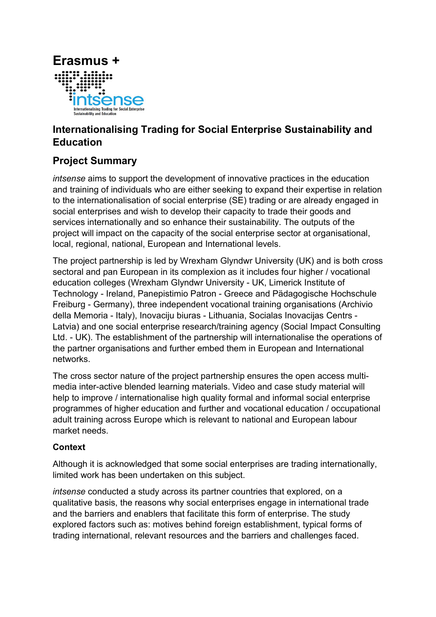

# Internationalising Trading for Social Enterprise Sustainability and Education

## Project Summary

intsense aims to support the development of innovative practices in the education and training of individuals who are either seeking to expand their expertise in relation to the internationalisation of social enterprise (SE) trading or are already engaged in social enterprises and wish to develop their capacity to trade their goods and services internationally and so enhance their sustainability. The outputs of the project will impact on the capacity of the social enterprise sector at organisational, local, regional, national, European and International levels.

The project partnership is led by Wrexham Glyndwr University (UK) and is both cross sectoral and pan European in its complexion as it includes four higher / vocational education colleges (Wrexham Glyndwr University - UK, Limerick Institute of Technology - Ireland, Panepistimio Patron - Greece and Pädagogische Hochschule Freiburg - Germany), three independent vocational training organisations (Archivio della Memoria - Italy), Inovaciju biuras - Lithuania, Socialas Inovacijas Centrs - Latvia) and one social enterprise research/training agency (Social Impact Consulting Ltd. - UK). The establishment of the partnership will internationalise the operations of the partner organisations and further embed them in European and International networks.

The cross sector nature of the project partnership ensures the open access multimedia inter-active blended learning materials. Video and case study material will help to improve / internationalise high quality formal and informal social enterprise programmes of higher education and further and vocational education / occupational adult training across Europe which is relevant to national and European labour market needs.

#### Context

Although it is acknowledged that some social enterprises are trading internationally, limited work has been undertaken on this subject.

intsense conducted a study across its partner countries that explored, on a qualitative basis, the reasons why social enterprises engage in international trade and the barriers and enablers that facilitate this form of enterprise. The study explored factors such as: motives behind foreign establishment, typical forms of trading international, relevant resources and the barriers and challenges faced.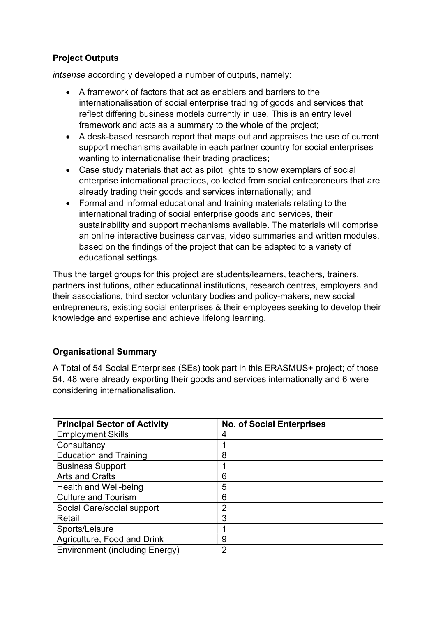### Project Outputs

intsense accordingly developed a number of outputs, namely:

- A framework of factors that act as enablers and barriers to the internationalisation of social enterprise trading of goods and services that reflect differing business models currently in use. This is an entry level framework and acts as a summary to the whole of the project;
- A desk-based research report that maps out and appraises the use of current support mechanisms available in each partner country for social enterprises wanting to internationalise their trading practices;
- Case study materials that act as pilot lights to show exemplars of social enterprise international practices, collected from social entrepreneurs that are already trading their goods and services internationally; and
- Formal and informal educational and training materials relating to the international trading of social enterprise goods and services, their sustainability and support mechanisms available. The materials will comprise an online interactive business canvas, video summaries and written modules, based on the findings of the project that can be adapted to a variety of educational settings.

Thus the target groups for this project are students/learners, teachers, trainers, partners institutions, other educational institutions, research centres, employers and their associations, third sector voluntary bodies and policy-makers, new social entrepreneurs, existing social enterprises & their employees seeking to develop their knowledge and expertise and achieve lifelong learning.

## Organisational Summary

A Total of 54 Social Enterprises (SEs) took part in this ERASMUS+ project; of those 54, 48 were already exporting their goods and services internationally and 6 were considering internationalisation.

| <b>Principal Sector of Activity</b>   | <b>No. of Social Enterprises</b> |
|---------------------------------------|----------------------------------|
| <b>Employment Skills</b>              | 4                                |
| Consultancy                           |                                  |
| <b>Education and Training</b>         | 8                                |
| <b>Business Support</b>               |                                  |
| Arts and Crafts                       | 6                                |
| Health and Well-being                 | 5                                |
| <b>Culture and Tourism</b>            | 6                                |
| Social Care/social support            | 2                                |
| Retail                                | 3                                |
| Sports/Leisure                        |                                  |
| Agriculture, Food and Drink           | 9                                |
| <b>Environment (including Energy)</b> | 2                                |